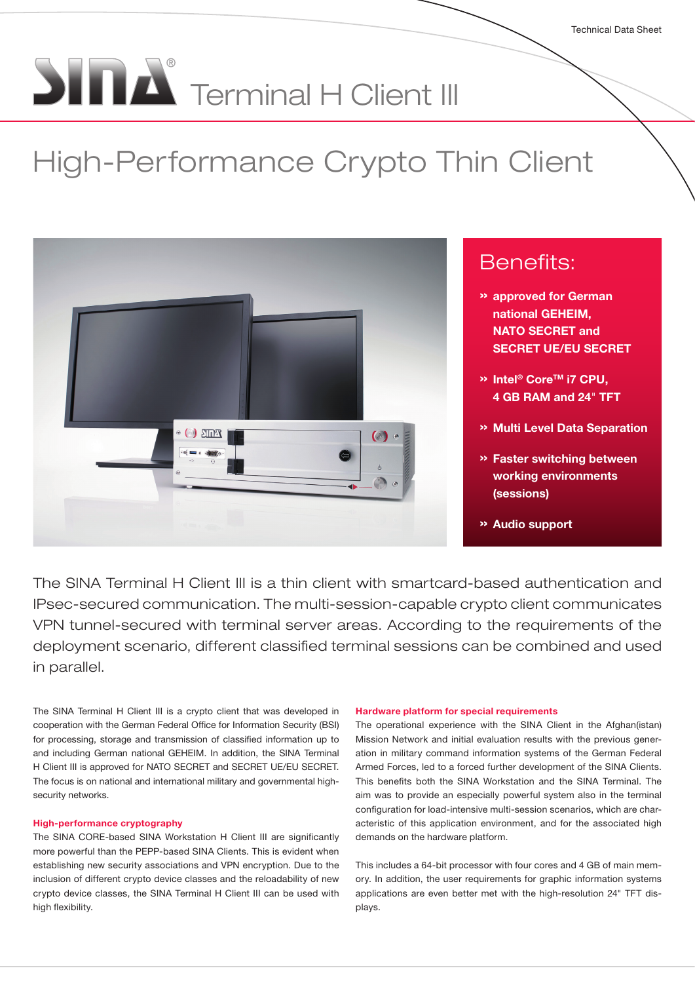# $\sum_{i=1}^{n} \prod_{i=1}^{n} \sum_{j=1}^{n}$  Terminal H Client III

# High-Performance Crypto Thin Client



## Benefits:

- » approved for German national GEHEIM, NATO SECRET and SECRET UE/EU SECRET
- <sup>»</sup> Intel<sup>®</sup> Core<sup>™</sup> i7 CPU. 4 GB RAM and 24" TFT
- » Multi Level Data Separation
- » Faster switching between working environments (sessions)
- » Audio support

The SINA Terminal H Client III is a thin client with smartcard-based authentication and IPsec-secured communication. The multi-session-capable crypto client communicates VPN tunnel-secured with terminal server areas. According to the requirements of the deployment scenario, different classified terminal sessions can be combined and used in parallel.

The SINA Terminal H Client III is a crypto client that was developed in cooperation with the German Federal Office for Information Security (BSI) for processing, storage and transmission of classified information up to and including German national GEHEIM. In addition, the SINA Terminal H Client III is approved for NATO SECRET and SECRET UE/EU SECRET. The focus is on national and international military and governmental highsecurity networks.

#### High-performance cryptography

The SINA CORE-based SINA Workstation H Client III are significantly more powerful than the PEPP-based SINA Clients. This is evident when establishing new security associations and VPN encryption. Due to the inclusion of different crypto device classes and the reloadability of new crypto device classes, the SINA Terminal H Client III can be used with high flexibility.

#### Hardware platform for special requirements

The operational experience with the SINA Client in the Afghan(istan) Mission Network and initial evaluation results with the previous generation in military command information systems of the German Federal Armed Forces, led to a forced further development of the SINA Clients. This benefits both the SINA Workstation and the SINA Terminal. The aim was to provide an especially powerful system also in the terminal configuration for load-intensive multi-session scenarios, which are characteristic of this application environment, and for the associated high demands on the hardware platform.

This includes a 64-bit processor with four cores and 4 GB of main memory. In addition, the user requirements for graphic information systems applications are even better met with the high-resolution 24" TFT displays.